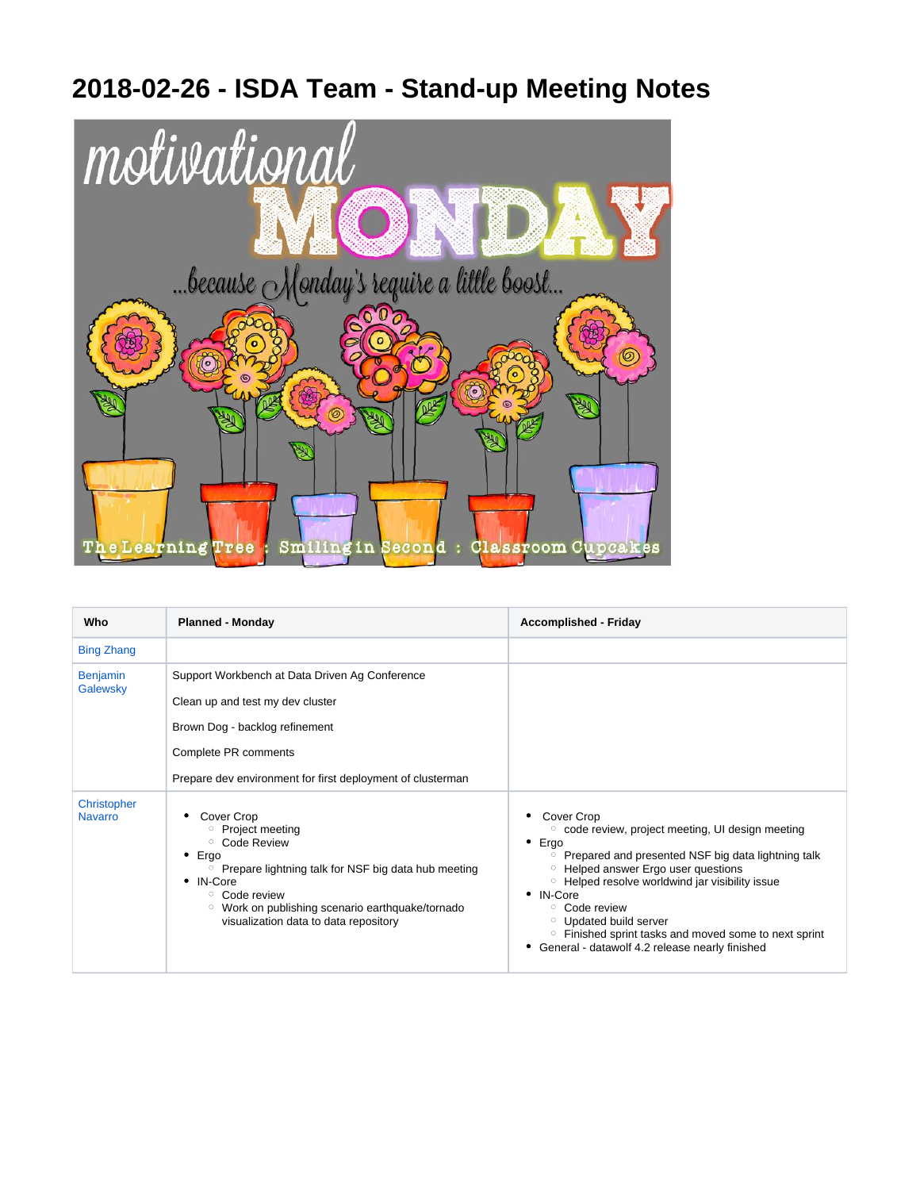## **2018-02-26 - ISDA Team - Stand-up Meeting Notes**



| Who                           | <b>Planned - Monday</b>                                                                                                                                                                                                                                                                                       | <b>Accomplished - Friday</b>                                                                                                                                                                                                                                                                                                                                                                                                                                    |
|-------------------------------|---------------------------------------------------------------------------------------------------------------------------------------------------------------------------------------------------------------------------------------------------------------------------------------------------------------|-----------------------------------------------------------------------------------------------------------------------------------------------------------------------------------------------------------------------------------------------------------------------------------------------------------------------------------------------------------------------------------------------------------------------------------------------------------------|
| <b>Bing Zhang</b>             |                                                                                                                                                                                                                                                                                                               |                                                                                                                                                                                                                                                                                                                                                                                                                                                                 |
| <b>Benjamin</b><br>Galewsky   | Support Workbench at Data Driven Ag Conference<br>Clean up and test my dev cluster<br>Brown Dog - backlog refinement<br>Complete PR comments<br>Prepare dev environment for first deployment of clusterman                                                                                                    |                                                                                                                                                                                                                                                                                                                                                                                                                                                                 |
| Christopher<br><b>Navarro</b> | Cover Crop<br><sup>o</sup> Project meeting<br><sup>o</sup> Code Review<br>$\bullet$ Ergo<br><sup>o</sup> Prepare lightning talk for NSF big data hub meeting<br>• IN-Core<br><sup>o</sup> Code review<br><sup>o</sup> Work on publishing scenario earthquake/tornado<br>visualization data to data repository | Cover Crop<br>○ code review, project meeting, UI design meeting<br>Ergo<br>٠<br>Prepared and presented NSF big data lightning talk<br>$\circ$<br>Helped answer Ergo user questions<br>$\circ$<br><sup>o</sup> Helped resolve worldwind jar visibility issue<br>• IN-Core<br>$\circ$ Code review<br><sup>o</sup> Updated build server<br><sup>o</sup> Finished sprint tasks and moved some to next sprint<br>General - datawolf 4.2 release nearly finished<br>٠ |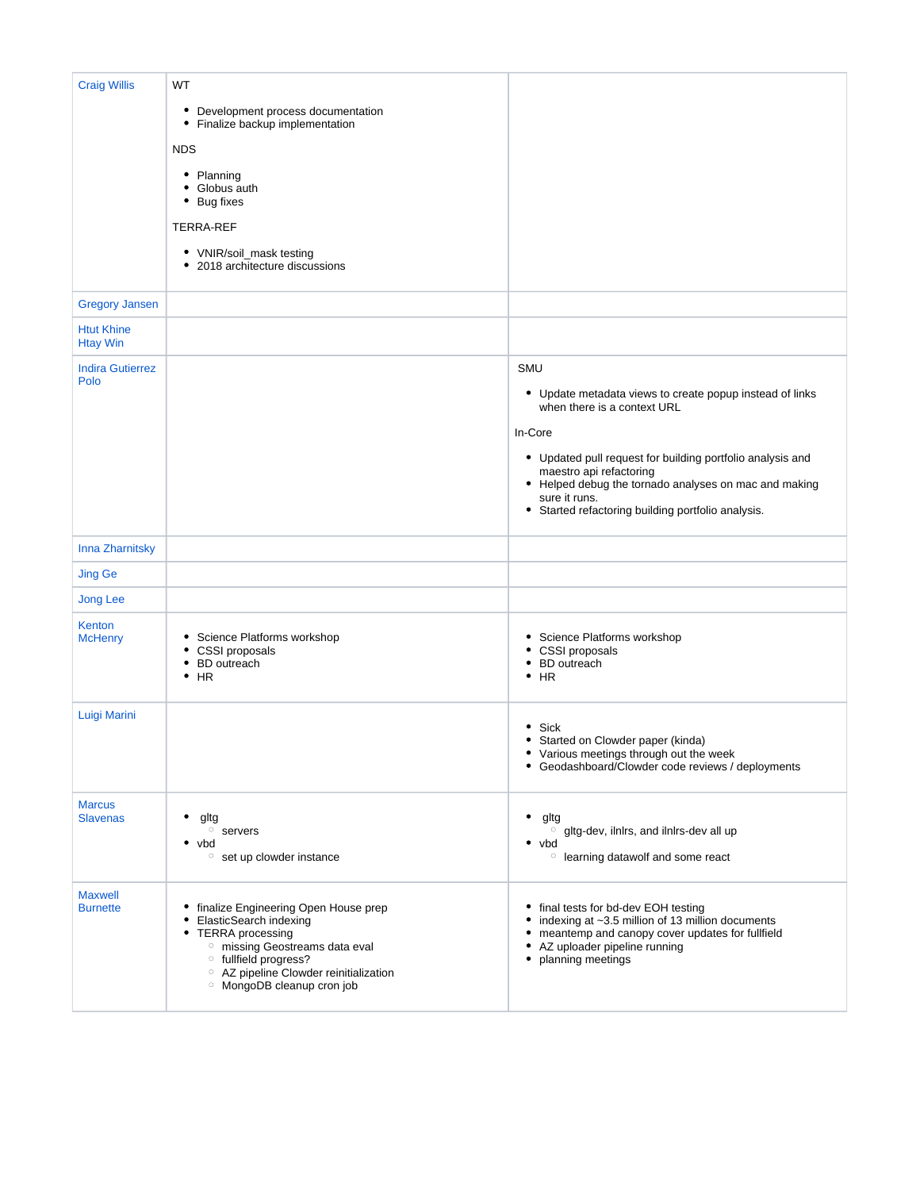| <b>Craig Willis</b>                  | WT<br>• Development process documentation<br>• Finalize backup implementation<br><b>NDS</b><br>• Planning<br>• Globus auth<br>• Bug fixes<br><b>TERRA-REF</b><br>• VNIR/soil_mask testing<br>• 2018 architecture discussions                                                         |                                                                                                                                                                                                                                                                                                                                    |
|--------------------------------------|--------------------------------------------------------------------------------------------------------------------------------------------------------------------------------------------------------------------------------------------------------------------------------------|------------------------------------------------------------------------------------------------------------------------------------------------------------------------------------------------------------------------------------------------------------------------------------------------------------------------------------|
| <b>Gregory Jansen</b>                |                                                                                                                                                                                                                                                                                      |                                                                                                                                                                                                                                                                                                                                    |
| <b>Htut Khine</b><br><b>Htay Win</b> |                                                                                                                                                                                                                                                                                      |                                                                                                                                                                                                                                                                                                                                    |
| <b>Indira Gutierrez</b><br>Polo      |                                                                                                                                                                                                                                                                                      | SMU<br>• Update metadata views to create popup instead of links<br>when there is a context URL<br>In-Core<br>• Updated pull request for building portfolio analysis and<br>maestro api refactoring<br>• Helped debug the tornado analyses on mac and making<br>sure it runs.<br>• Started refactoring building portfolio analysis. |
| Inna Zharnitsky                      |                                                                                                                                                                                                                                                                                      |                                                                                                                                                                                                                                                                                                                                    |
| <b>Jing Ge</b>                       |                                                                                                                                                                                                                                                                                      |                                                                                                                                                                                                                                                                                                                                    |
| <b>Jong Lee</b>                      |                                                                                                                                                                                                                                                                                      |                                                                                                                                                                                                                                                                                                                                    |
| Kenton<br><b>McHenry</b>             | • Science Platforms workshop<br>• CSSI proposals<br>• BD outreach<br>$\bullet$ HR                                                                                                                                                                                                    | Science Platforms workshop<br>CSSI proposals<br><b>BD</b> outreach<br>$\bullet$ HR                                                                                                                                                                                                                                                 |
| Luigi Marini                         |                                                                                                                                                                                                                                                                                      | Sick<br>Started on Clowder paper (kinda)<br>• Various meetings through out the week<br>Geodashboard/Clowder code reviews / deployments                                                                                                                                                                                             |
| <b>Marcus</b><br><b>Slavenas</b>     | gltg<br>$\circ$ servers<br>٠<br>vbd<br><sup>o</sup> set up clowder instance                                                                                                                                                                                                          | gltg<br>o gltg-dev, ilnlrs, and ilnlrs-dev all up<br>٠<br>vbd<br><sup>o</sup> learning datawolf and some react                                                                                                                                                                                                                     |
| <b>Maxwell</b><br><b>Burnette</b>    | • finalize Engineering Open House prep<br>ElasticSearch indexing<br>٠<br><b>TERRA</b> processing<br>٠<br><sup>o</sup> missing Geostreams data eval<br><sup>o</sup> fullfield progress?<br><sup>o</sup> AZ pipeline Clowder reinitialization<br><sup>o</sup> MongoDB cleanup cron job | final tests for bd-dev EOH testing<br>indexing at ~3.5 million of 13 million documents<br>meantemp and canopy cover updates for fullfield<br>AZ uploader pipeline running<br>٠<br>planning meetings                                                                                                                                |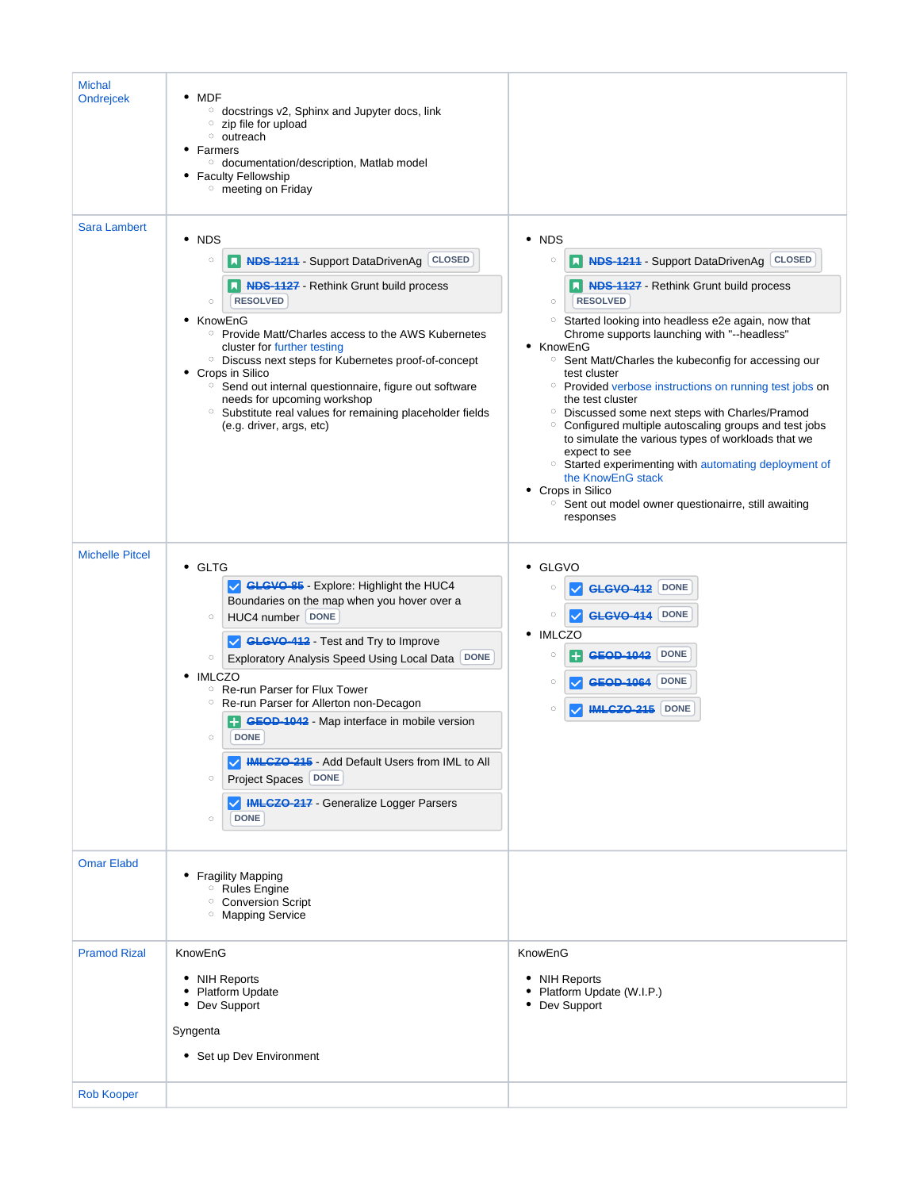| <b>Michal</b><br><b>Ondrejcek</b>        | $\bullet$ MDF<br><sup>o</sup> docstrings v2, Sphinx and Jupyter docs, link<br>$\circ$ zip file for upload<br><sup>o</sup> outreach<br>• Farmers<br><sup>o</sup> documentation/description, Matlab model<br>• Faculty Fellowship<br><sup>o</sup> meeting on Friday                                                                                                                                                                                                                                                                                                                                  |                                                                                                                                                                                                                                                                                                                                                                                                                                                                                                                                                                                                                                                                                                                                                                                                                                                |
|------------------------------------------|----------------------------------------------------------------------------------------------------------------------------------------------------------------------------------------------------------------------------------------------------------------------------------------------------------------------------------------------------------------------------------------------------------------------------------------------------------------------------------------------------------------------------------------------------------------------------------------------------|------------------------------------------------------------------------------------------------------------------------------------------------------------------------------------------------------------------------------------------------------------------------------------------------------------------------------------------------------------------------------------------------------------------------------------------------------------------------------------------------------------------------------------------------------------------------------------------------------------------------------------------------------------------------------------------------------------------------------------------------------------------------------------------------------------------------------------------------|
| <b>Sara Lambert</b>                      | $\cdot$ NDS<br><b>NDS-1211 - Support DataDrivenAg CLOSED</b><br>$\circ$<br><b>NDS-1127</b> - Rethink Grunt build process<br><b>RESOLVED</b><br>$\circ$<br>• KnowEnG<br><sup>o</sup> Provide Matt/Charles access to the AWS Kubernetes<br>cluster for further testing<br><sup>o</sup> Discuss next steps for Kubernetes proof-of-concept<br>• Crops in Silico<br><sup>o</sup> Send out internal questionnaire, figure out software<br>needs for upcoming workshop<br><sup>o</sup> Substitute real values for remaining placeholder fields<br>(e.g. driver, args, etc)                               | • NDS<br>N NDS-1211 - Support DataDrivenAg CLOSED<br>$\circ$<br>N NDS-1127 - Rethink Grunt build process<br><b>RESOLVED</b><br>$\circ$<br><sup>o</sup> Started looking into headless e2e again, now that<br>Chrome supports launching with "--headless"<br>• KnowEnG<br><sup>o</sup> Sent Matt/Charles the kubeconfig for accessing our<br>test cluster<br>○ Provided verbose instructions on running test jobs on<br>the test cluster<br><sup>o</sup> Discussed some next steps with Charles/Pramod<br><sup>o</sup> Configured multiple autoscaling groups and test jobs<br>to simulate the various types of workloads that we<br>expect to see<br><sup>o</sup> Started experimenting with automating deployment of<br>the KnowEnG stack<br>• Crops in Silico<br><sup>o</sup> Sent out model owner questionairre, still awaiting<br>responses |
| <b>Michelle Pitcel</b>                   | • GLTG<br>GLGVO-85 - Explore: Highlight the HUC4<br>Boundaries on the map when you hover over a<br>HUC4 number DONE<br>$\circ$<br>GLGVO-412 - Test and Try to Improve<br>Exploratory Analysis Speed Using Local Data DONE<br>$\circ$<br>• IMLCZO<br><sup>o</sup> Re-run Parser for Flux Tower<br><sup>o</sup> Re-run Parser for Allerton non-Decagon<br><b>GEOD-1042</b> - Map interface in mobile version<br><b>DONE</b><br>$\circ$<br>MLCZO-215 - Add Default Users from IML to All<br>Project Spaces   DONE<br>$\circ$<br>MINIMIALGZO-217 - Generalize Logger Parsers<br><b>DONE</b><br>$\circ$ | • GLGVO<br><b>DONE</b><br>$\circ$<br><b>GLGVO-412</b><br><b>DONE</b><br>$\circ$<br><b>GLGVO-414</b><br>• IMLCZO<br><b>DONE</b><br>$\circ$<br><b>GEOD 1042</b><br><b>DONE</b><br>$\circ$<br><b>DONE</b><br>$\circ$<br><b>IML 670-215</b>                                                                                                                                                                                                                                                                                                                                                                                                                                                                                                                                                                                                        |
| <b>Omar Elabd</b>                        | • Fragility Mapping<br><sup>o</sup> Rules Engine<br><sup>o</sup> Conversion Script<br><sup>o</sup> Mapping Service                                                                                                                                                                                                                                                                                                                                                                                                                                                                                 |                                                                                                                                                                                                                                                                                                                                                                                                                                                                                                                                                                                                                                                                                                                                                                                                                                                |
| <b>Pramod Rizal</b><br><b>Rob Kooper</b> | KnowEnG<br>• NIH Reports<br>• Platform Update<br>• Dev Support<br>Syngenta<br>• Set up Dev Environment                                                                                                                                                                                                                                                                                                                                                                                                                                                                                             | KnowEnG<br>• NIH Reports<br>• Platform Update (W.I.P.)<br>• Dev Support                                                                                                                                                                                                                                                                                                                                                                                                                                                                                                                                                                                                                                                                                                                                                                        |